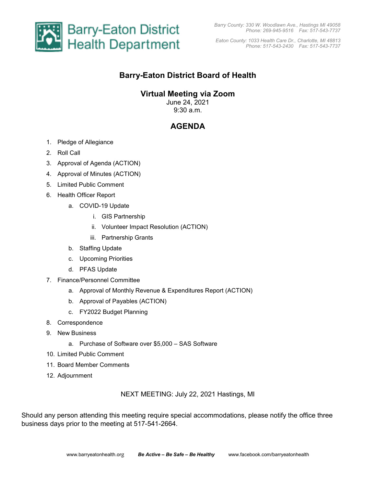

*Eaton County: 1033 Health Care Dr., Charlotte, MI 48813 Phone: 517-543-2430 Fax: 517-543-7737* 

## **Barry-Eaton District Board of Health**

### **Virtual Meeting via Zoom**

June 24, 2021 9:30 a.m.

# **AGENDA**

- 1. Pledge of Allegiance
- 2. Roll Call
- 3. Approval of Agenda (ACTION)
- 4. Approval of Minutes (ACTION)
- 5. Limited Public Comment
- 6. Health Officer Report
	- a. COVID-19 Update
		- i. GIS Partnership
		- ii. Volunteer Impact Resolution (ACTION)
		- iii. Partnership Grants
	- b. Staffing Update
	- c. Upcoming Priorities
	- d. PFAS Update
- 7. Finance/Personnel Committee
	- a. Approval of Monthly Revenue & Expenditures Report (ACTION)
	- b. Approval of Payables (ACTION)
	- c. FY2022 Budget Planning
- 8. Correspondence
- 9. New Business
	- a. Purchase of Software over \$5,000 SAS Software
- 10. Limited Public Comment
- 11. Board Member Comments
- 12. Adjournment

NEXT MEETING: July 22, 2021 Hastings, MI

Should any person attending this meeting require special accommodations, please notify the office three business days prior to the meeting at 517-541-2664.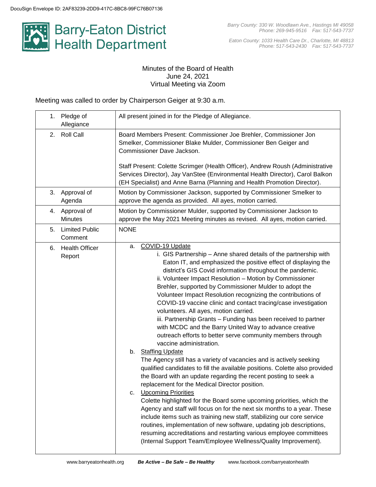

*Eaton County: 1033 Health Care Dr., Charlotte, MI 48813 Phone: 517-543-2430 Fax: 517-543-7737*

#### Minutes of the Board of Health June 24, 2021 Virtual Meeting via Zoom

Meeting was called to order by Chairperson Geiger at 9:30 a.m.

| Pledge of<br>1.<br>Allegiance          | All present joined in for the Pledge of Allegiance.                                                                                                                                                                                                                                                                                                                                                                                                                                                                                                                                                                                                                                                                                                                                                                                                                                                                                                                                                                                                                                                                                                                                                                                                                                                                                                                                                                                                                                                                               |
|----------------------------------------|-----------------------------------------------------------------------------------------------------------------------------------------------------------------------------------------------------------------------------------------------------------------------------------------------------------------------------------------------------------------------------------------------------------------------------------------------------------------------------------------------------------------------------------------------------------------------------------------------------------------------------------------------------------------------------------------------------------------------------------------------------------------------------------------------------------------------------------------------------------------------------------------------------------------------------------------------------------------------------------------------------------------------------------------------------------------------------------------------------------------------------------------------------------------------------------------------------------------------------------------------------------------------------------------------------------------------------------------------------------------------------------------------------------------------------------------------------------------------------------------------------------------------------------|
| <b>Roll Call</b><br>2.                 | Board Members Present: Commissioner Joe Brehler, Commissioner Jon<br>Smelker, Commissioner Blake Mulder, Commissioner Ben Geiger and<br>Commissioner Dave Jackson.<br>Staff Present: Colette Scrimger (Health Officer), Andrew Roush (Administrative<br>Services Director), Jay VanStee (Environmental Health Director), Carol Balkon                                                                                                                                                                                                                                                                                                                                                                                                                                                                                                                                                                                                                                                                                                                                                                                                                                                                                                                                                                                                                                                                                                                                                                                             |
|                                        | (EH Specialist) and Anne Barna (Planning and Health Promotion Director).                                                                                                                                                                                                                                                                                                                                                                                                                                                                                                                                                                                                                                                                                                                                                                                                                                                                                                                                                                                                                                                                                                                                                                                                                                                                                                                                                                                                                                                          |
| Approval of<br>3.<br>Agenda            | Motion by Commissioner Jackson, supported by Commissioner Smelker to<br>approve the agenda as provided. All ayes, motion carried.                                                                                                                                                                                                                                                                                                                                                                                                                                                                                                                                                                                                                                                                                                                                                                                                                                                                                                                                                                                                                                                                                                                                                                                                                                                                                                                                                                                                 |
| 4.<br>Approval of<br><b>Minutes</b>    | Motion by Commissioner Mulder, supported by Commissioner Jackson to<br>approve the May 2021 Meeting minutes as revised. All ayes, motion carried.                                                                                                                                                                                                                                                                                                                                                                                                                                                                                                                                                                                                                                                                                                                                                                                                                                                                                                                                                                                                                                                                                                                                                                                                                                                                                                                                                                                 |
| <b>Limited Public</b><br>5.<br>Comment | <b>NONE</b>                                                                                                                                                                                                                                                                                                                                                                                                                                                                                                                                                                                                                                                                                                                                                                                                                                                                                                                                                                                                                                                                                                                                                                                                                                                                                                                                                                                                                                                                                                                       |
| <b>Health Officer</b><br>6.<br>Report  | COVID-19 Update<br>a.<br>i. GIS Partnership - Anne shared details of the partnership with<br>Eaton IT, and emphasized the positive effect of displaying the<br>district's GIS Covid information throughout the pandemic.<br>ii. Volunteer Impact Resolution - Motion by Commissioner<br>Brehler, supported by Commissioner Mulder to adopt the<br>Volunteer Impact Resolution recognizing the contributions of<br>COVID-19 vaccine clinic and contact tracing/case investigation<br>volunteers. All ayes, motion carried.<br>iii. Partnership Grants - Funding has been received to partner<br>with MCDC and the Barry United Way to advance creative<br>outreach efforts to better serve community members through<br>vaccine administration.<br>b. Staffing Update<br>The Agency still has a variety of vacancies and is actively seeking<br>qualified candidates to fill the available positions. Colette also provided<br>the Board with an update regarding the recent posting to seek a<br>replacement for the Medical Director position.<br><b>Upcoming Priorities</b><br>c.<br>Colette highlighted for the Board some upcoming priorities, which the<br>Agency and staff will focus on for the next six months to a year. These<br>include items such as training new staff, stabilizing our core service<br>routines, implementation of new software, updating job descriptions,<br>resuming accreditations and restarting various employee committees<br>(Internal Support Team/Employee Wellness/Quality Improvement). |